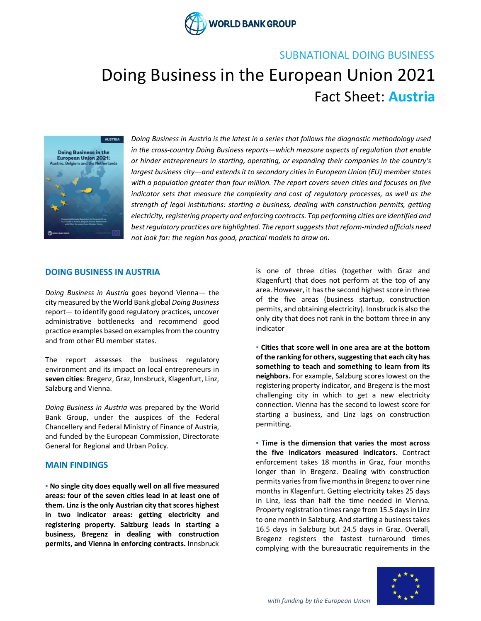

### SUBNATIONAL DOING BUSINESS

# Doing Business in the European Union 2021 Fact Sheet: **Austria**



*Doing Business in Austria is the latest in a series that follows the diagnostic methodology used in the cross-country Doing Business reports—which measure aspects of regulation that enable or hinder entrepreneurs in starting, operating, or expanding their companies in the country's largest business city—and extends it to secondary cities in European Union (EU) member states with a population greater than four million. The report covers seven cities and focuses on five indicator sets that measure the complexity and cost of regulatory processes, as well as the strength of legal institutions: starting a business, dealing with construction permits, getting electricity, registering property and enforcing contracts. Top performing cities are identified and best regulatory practices are highlighted. The report suggests that reform-minded officials need not look far: the region has good, practical models to draw on.*

#### **DOING BUSINESS IN AUSTRIA**

*Doing Business in Austria* goes beyond Vienna*—* the city measured by the World Bank global *Doing Business* report*—* to identify good regulatory practices, uncover administrative bottlenecks and recommend good practice examples based on examples from the country and from other EU member states.

The report assesses the business regulatory environment and its impact on local entrepreneurs in **seven cities**: Bregenz, Graz, Innsbruck, Klagenfurt, Linz, Salzburg and Vienna.

*Doing Business in Austria* was prepared by the World Bank Group, under the auspices of the Federal Chancellery and Federal Ministry of Finance of Austria, and funded by the European Commission, Directorate General for Regional and Urban Policy.

#### **MAIN FINDINGS**

**▪ No single city does equally well on all five measured areas: four of the seven cities lead in at least one of them. Linz is the only Austrian city that scores highest in two indicator areas: getting electricity and registering property. Salzburg leads in starting a business, Bregenz in dealing with construction permits, and Vienna in enforcing contracts.** Innsbruck

is one of three cities (together with Graz and Klagenfurt) that does not perform at the top of any area. However, it has the second highest score in three of the five areas (business startup, construction permits, and obtaining electricity). Innsbruck is also the only city that does not rank in the bottom three in any indicator

**▪ Cities that score well in one area are at the bottom of the ranking for others, suggesting that each city has something to teach and something to learn from its neighbors.** For example, Salzburg scores lowest on the registering property indicator, and Bregenz is the most challenging city in which to get a new electricity connection. Vienna has the second to lowest score for starting a business, and Linz lags on construction permitting.

**▪ Time is the dimension that varies the most across the five indicators measured indicators.** Contract enforcement takes 18 months in Graz, four months longer than in Bregenz. Dealing with construction permits variesfrom five months in Bregenz to over nine months in Klagenfurt. Getting electricity takes 25 days in Linz, less than half the time needed in Vienna. Property registration times range from 15.5 days in Linz to one month in Salzburg. And starting a business takes 16.5 days in Salzburg but 24.5 days in Graz. Overall, Bregenz registers the fastest turnaround times complying with the bureaucratic requirements in the